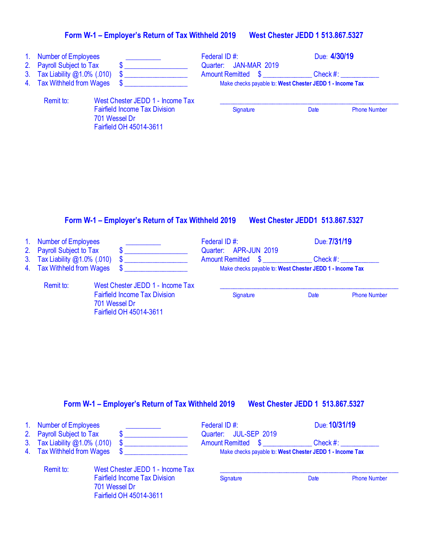## **Form W-1 – Employer's Return of Tax Withheld 201**9 **West Chester JEDD 1 513.867.5327**

| 1 <sub>1</sub><br>2.<br>3 <sub>1</sub><br>4. | <b>Number of Employees</b><br>Payroll Subject to Tax<br>Tax Liability @1.0% (.010)<br><b>Tax Withheld from Wages</b> | \$.<br>S.<br>S.                                                                                                      | Federal ID#:<br><b>JAN-MAR 2019</b><br>Quarter:<br><b>Amount Remitted</b><br><b>S</b> | Due: 4/30/19<br>Check #:<br>Make checks payable to: West Chester JEDD 1 - Income Tax |                     |
|----------------------------------------------|----------------------------------------------------------------------------------------------------------------------|----------------------------------------------------------------------------------------------------------------------|---------------------------------------------------------------------------------------|--------------------------------------------------------------------------------------|---------------------|
|                                              | Remit to:                                                                                                            | West Chester JEDD 1 - Income Tax<br><b>Fairfield Income Tax Division</b><br>701 Wessel Dr<br>Fairfield OH 45014-3611 | Signature                                                                             | Date                                                                                 | <b>Phone Number</b> |

## **Form W-1 – Employer's Return of Tax Withheld 201**9 **West Chester JEDD1 513.867.5327**

| 1. Number of Employees<br>2. Payroll Subject to Tax         |                                                                                                                      | Federal ID#:<br>Quarter: APR-JUN 2019                                                 | Due: 7/31/19 |                     |
|-------------------------------------------------------------|----------------------------------------------------------------------------------------------------------------------|---------------------------------------------------------------------------------------|--------------|---------------------|
| 3. Tax Liability @1.0% (.010)<br>4. Tax Withheld from Wages |                                                                                                                      | <b>Amount Remitted \$</b><br>Make checks payable to: West Chester JEDD 1 - Income Tax | Check #:     |                     |
| Remit to:                                                   | West Chester JEDD 1 - Income Tax<br><b>Fairfield Income Tax Division</b><br>701 Wessel Dr<br>Fairfield OH 45014-3611 | Signature                                                                             | Date         | <b>Phone Number</b> |

#### **Form W-1 – Employer's Return of Tax Withheld 201**9 **West Chester JEDD 1 513.867.5327**

| 1. Number of Employees                                     |                                                                                  | Federal ID#:                                             |      | Due: 10/31/19       |
|------------------------------------------------------------|----------------------------------------------------------------------------------|----------------------------------------------------------|------|---------------------|
| 2. Payroll Subject to Tax<br>3. Tax Liability @1.0% (.010) |                                                                                  | Quarter: JUL-SEP 2019<br><b>Amount Remitted \$</b>       |      | $Check \#:$         |
| 4. Tax Withheld from Wages                                 |                                                                                  | Make checks payable to: West Chester JEDD 1 - Income Tax |      |                     |
| Remit to:                                                  | West Chester JEDD 1 - Income Tax                                                 |                                                          |      |                     |
|                                                            | <b>Fairfield Income Tax Division</b><br>701 Wessel Dr<br>Fairfield OH 45014-3611 | Signature                                                | Date | <b>Phone Number</b> |